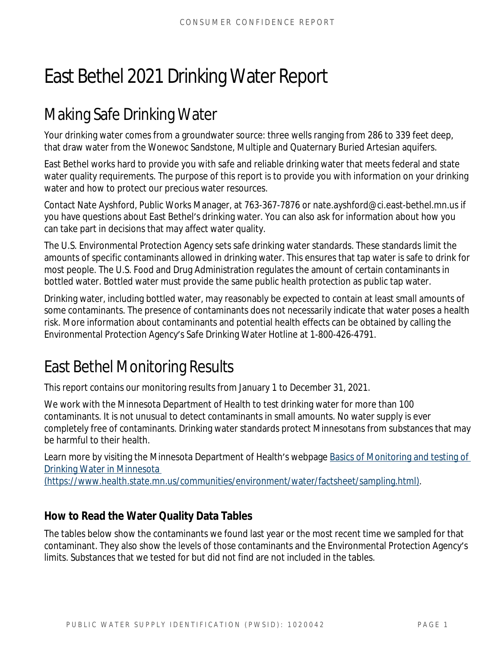# East Bethel 2021 Drinking Water Report

## Making Safe Drinking Water

Your drinking water comes from a groundwater source: three wells ranging from 286 to 339 feet deep, that draw water from the Wonewoc Sandstone, Multiple and Quaternary Buried Artesian aquifers.

East Bethel works hard to provide you with safe and reliable drinking water that meets federal and state water quality requirements. The purpose of this report is to provide you with information on your drinking water and how to protect our precious water resources.

Contact Nate Ayshford, Public Works Manager, at 763-367-7876 or nate.ayshford@ci.east-bethel.mn.us if you have questions about East Bethel's drinking water. You can also ask for information about how you can take part in decisions that may affect water quality.

The U.S. Environmental Protection Agency sets safe drinking water standards. These standards limit the amounts of specific contaminants allowed in drinking water. This ensures that tap water is safe to drink for most people. The U.S. Food and Drug Administration regulates the amount of certain contaminants in bottled water. Bottled water must provide the same public health protection as public tap water.

Drinking water, including bottled water, may reasonably be expected to contain at least small amounts of some contaminants. The presence of contaminants does not necessarily indicate that water poses a health risk. More information about contaminants and potential health effects can be obtained by calling the Environmental Protection Agency's Safe Drinking Water Hotline at 1-800-426-4791.

### East Bethel Monitoring Results

This report contains our monitoring results from January 1 to December 31, 2021.

We work with the Minnesota Department of Health to test drinking water for more than 100 contaminants. It is not unusual to detect contaminants in small amounts. No water supply is ever completely free of contaminants. Drinking water standards protect Minnesotans from substances that may be harmful to their health.

Learn more by visiting the Minnesota Department of Health's webpage Basics of Monitoring and testing of Drinking Water in Minnesota

(https://www.health.state.mn.us/communities/environment/water/factsheet/sampling.html).

#### **How to Read the Water Quality Data Tables**

The tables below show the contaminants we found last year or the most recent time we sampled for that contaminant. They also show the levels of those contaminants and the Environmental Protection Agency's limits. Substances that we tested for but did not find are not included in the tables.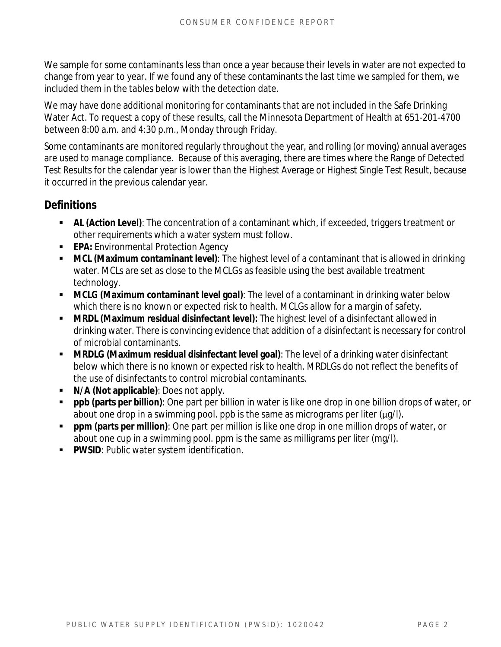We sample for some contaminants less than once a year because their levels in water are not expected to change from year to year. If we found any of these contaminants the last time we sampled for them, we included them in the tables below with the detection date.

We may have done additional monitoring for contaminants that are not included in the Safe Drinking Water Act. To request a copy of these results, call the Minnesota Department of Health at 651-201-4700 between 8:00 a.m. and 4:30 p.m., Monday through Friday.

Some contaminants are monitored regularly throughout the year, and rolling (or moving) annual averages are used to manage compliance. Because of this averaging, there are times where the Range of Detected Test Results for the calendar year is lower than the Highest Average or Highest Single Test Result, because it occurred in the previous calendar year.

#### **Definitions**

- **AL (Action Level)**: The concentration of a contaminant which, if exceeded, triggers treatment or other requirements which a water system must follow.
- **EPA:** Environmental Protection Agency
- **MCL (Maximum contaminant level)**: The highest level of a contaminant that is allowed in drinking water. MCLs are set as close to the MCLGs as feasible using the best available treatment technology.
- **MCLG (Maximum contaminant level goal)**: The level of a contaminant in drinking water below which there is no known or expected risk to health. MCLGs allow for a margin of safety.
- **MRDL (Maximum residual disinfectant level):** The highest level of a disinfectant allowed in drinking water. There is convincing evidence that addition of a disinfectant is necessary for control of microbial contaminants.
- **MRDLG (Maximum residual disinfectant level goal)**: The level of a drinking water disinfectant below which there is no known or expected risk to health. MRDLGs do not reflect the benefits of the use of disinfectants to control microbial contaminants.
- **N/A (Not applicable)**: Does not apply.
- **ppb (parts per billion)**: One part per billion in water is like one drop in one billion drops of water, or about one drop in a swimming pool. ppb is the same as micrograms per liter  $(\mu q)$ .
- **ppm (parts per million)**: One part per million is like one drop in one million drops of water, or about one cup in a swimming pool. ppm is the same as milligrams per liter (mg/l).
- **PWSID**: Public water system identification.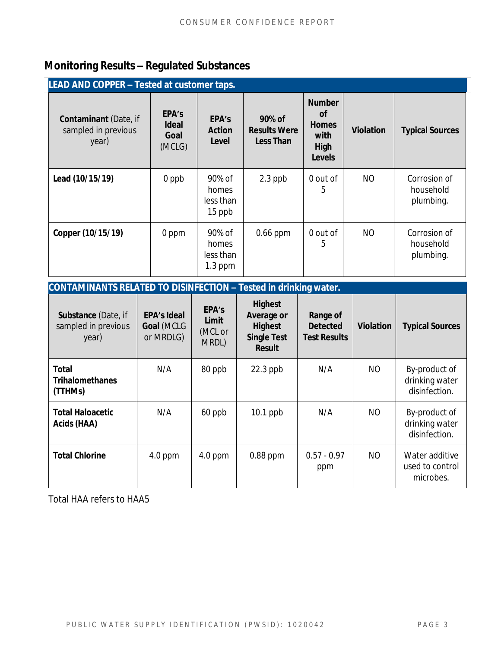### **Monitoring Results – Regulated Substances**

| <b>LEAD AND COPPER - Tested at customer taps.</b>            |                                         |                                           |                                            |                                                                             |                  |                                        |  |
|--------------------------------------------------------------|-----------------------------------------|-------------------------------------------|--------------------------------------------|-----------------------------------------------------------------------------|------------------|----------------------------------------|--|
| <b>Contaminant</b> (Date, if<br>sampled in previous<br>year) | EPA's<br><b>Ideal</b><br>Goal<br>(MCLG) | EPA's<br>Action<br>Level                  | 90% of<br><b>Results Were</b><br>Less Than | <b>Number</b><br><b>of</b><br><b>Homes</b><br>with<br>High<br><b>Levels</b> | <b>Violation</b> | <b>Typical Sources</b>                 |  |
| Lead (10/15/19)                                              | 0 ppb                                   | 90% of<br>homes<br>less than<br>15 ppb    | $2.3$ ppb                                  | 0 out of<br>5                                                               | NO.              | Corrosion of<br>household<br>plumbing. |  |
| Copper (10/15/19)                                            | 0 ppm                                   | 90% of<br>homes<br>less than<br>$1.3$ ppm | $0.66$ ppm                                 | 0 out of<br>5                                                               | NO.              | Corrosion of<br>household<br>plumbing. |  |

| CONTAMINANTS RELATED TO DISINFECTION - Tested in drinking water. |                                               |                                    |                                                                                       |                                                    |                  |                                                  |  |
|------------------------------------------------------------------|-----------------------------------------------|------------------------------------|---------------------------------------------------------------------------------------|----------------------------------------------------|------------------|--------------------------------------------------|--|
| Substance (Date, if<br>sampled in previous<br>year)              | <b>EPA's Ideal</b><br>Goal (MCLG<br>or MRDLG) | EPA's<br>Limit<br>(MCL or<br>MRDL) | <b>Highest</b><br>Average or<br><b>Highest</b><br><b>Single Test</b><br><b>Result</b> | Range of<br><b>Detected</b><br><b>Test Results</b> | <b>Violation</b> | <b>Typical Sources</b>                           |  |
| <b>Total</b><br><b>Trihalomethanes</b><br>(TTHMs)                | N/A                                           | 80 ppb                             | $22.3$ ppb                                                                            | N/A                                                | NO               | By-product of<br>drinking water<br>disinfection. |  |
| <b>Total Haloacetic</b><br>Acids (HAA)                           | N/A                                           | 60 ppb                             | $10.1$ ppb                                                                            | N/A                                                | NO               | By-product of<br>drinking water<br>disinfection. |  |
| <b>Total Chlorine</b>                                            | $4.0$ ppm                                     | $4.0$ ppm                          | $0.88$ ppm                                                                            | $0.57 - 0.97$<br>ppm                               | NO               | Water additive<br>used to control<br>microbes.   |  |

Total HAA refers to HAA5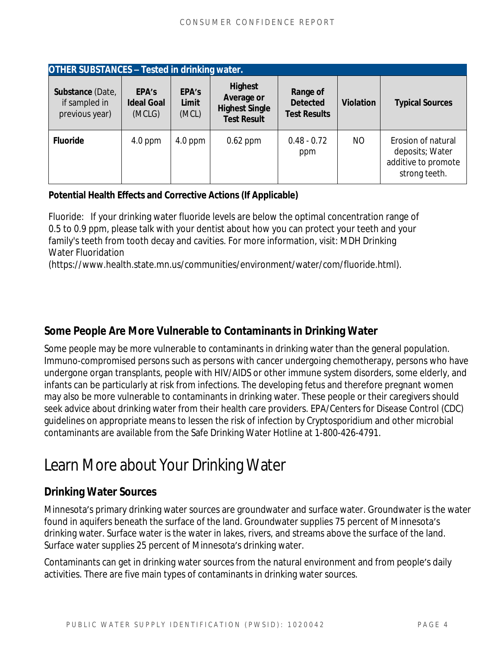| <b>OTHER SUBSTANCES - Tested in drinking water.</b> |                                      |                         |                                                                      |                                                    |                  |                                                                               |  |
|-----------------------------------------------------|--------------------------------------|-------------------------|----------------------------------------------------------------------|----------------------------------------------------|------------------|-------------------------------------------------------------------------------|--|
| Substance (Date,<br>if sampled in<br>previous year) | EPA's<br><b>Ideal Goal</b><br>(MCLG) | EPA's<br>Limit<br>(MCL) | Highest<br>Average or<br><b>Highest Single</b><br><b>Test Result</b> | Range of<br><b>Detected</b><br><b>Test Results</b> | <b>Violation</b> | <b>Typical Sources</b>                                                        |  |
| <b>Fluoride</b>                                     | $4.0$ ppm                            | $4.0$ ppm               | $0.62$ ppm                                                           | $0.48 - 0.72$<br>ppm                               | NO.              | Erosion of natural<br>deposits; Water<br>additive to promote<br>strong teeth. |  |

#### **Potential Health Effects and Corrective Actions (If Applicable)**

Fluoride: If your drinking water fluoride levels are below the optimal concentration range of 0.5 to 0.9 ppm, please talk with your dentist about how you can protect your teeth and your family's teeth from tooth decay and cavities. For more information, visit: MDH Drinking Water Fluoridation

(https://www.health.state.mn.us/communities/environment/water/com/fluoride.html).

#### **Some People Are More Vulnerable to Contaminants in Drinking Water**

Some people may be more vulnerable to contaminants in drinking water than the general population. Immuno-compromised persons such as persons with cancer undergoing chemotherapy, persons who have undergone organ transplants, people with HIV/AIDS or other immune system disorders, some elderly, and infants can be particularly at risk from infections. The developing fetus and therefore pregnant women may also be more vulnerable to contaminants in drinking water. These people or their caregivers should seek advice about drinking water from their health care providers. EPA/Centers for Disease Control (CDC) guidelines on appropriate means to lessen the risk of infection by *Cryptosporidium* and other microbial contaminants are available from the Safe Drinking Water Hotline at 1-800-426-4791.

### Learn More about Your Drinking Water

#### **Drinking Water Sources**

Minnesota's primary drinking water sources are groundwater and surface water. Groundwater is the water found in aquifers beneath the surface of the land. Groundwater supplies 75 percent of Minnesota's drinking water. Surface water is the water in lakes, rivers, and streams above the surface of the land. Surface water supplies 25 percent of Minnesota's drinking water.

Contaminants can get in drinking water sources from the natural environment and from people's daily activities. There are five main types of contaminants in drinking water sources.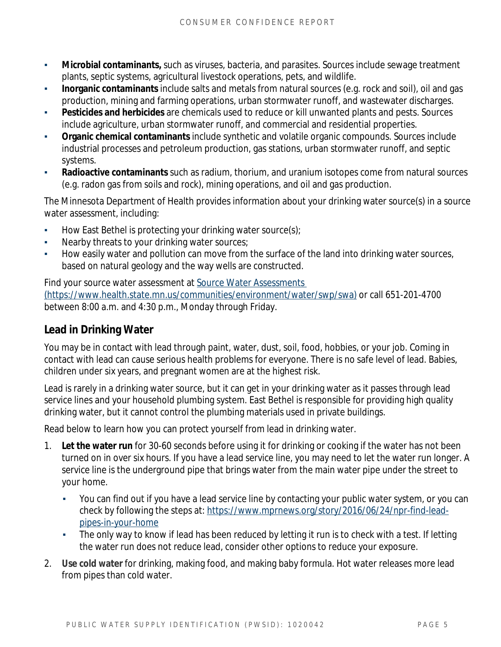- **Microbial contaminants,** such as viruses, bacteria, and parasites. Sources include sewage treatment plants, septic systems, agricultural livestock operations, pets, and wildlife.
- **Inorganic contaminants** include salts and metals from natural sources (e.g. rock and soil), oil and gas production, mining and farming operations, urban stormwater runoff, and wastewater discharges.
- **Pesticides and herbicides** are chemicals used to reduce or kill unwanted plants and pests. Sources include agriculture, urban stormwater runoff, and commercial and residential properties.
- **Organic chemical contaminants** include synthetic and volatile organic compounds. Sources include industrial processes and petroleum production, gas stations, urban stormwater runoff, and septic systems.
- **Radioactive contaminants** such as radium, thorium, and uranium isotopes come from natural sources (e.g. radon gas from soils and rock), mining operations, and oil and gas production.

The Minnesota Department of Health provides information about your drinking water source(s) in a source water assessment, including:

- **How East Bethel is protecting your drinking water source(s);**
- Nearby threats to your drinking water sources;
- How easily water and pollution can move from the surface of the land into drinking water sources, based on natural geology and the way wells are constructed.

Find your source water assessment at Source Water Assessments (https://www.health.state.mn.us/communities/environment/water/swp/swa) or call 651-201-4700 between 8:00 a.m. and 4:30 p.m., Monday through Friday.

#### **Lead in Drinking Water**

You may be in contact with lead through paint, water, dust, soil, food, hobbies, or your job. Coming in contact with lead can cause serious health problems for everyone. There is no safe level of lead. Babies, children under six years, and pregnant women are at the highest risk.

Lead is rarely in a drinking water source, but it can get in your drinking water as it passes through lead service lines and your household plumbing system. East Bethel is responsible for providing high quality drinking water, but it cannot control the plumbing materials used in private buildings.

Read below to learn how you can protect yourself from lead in drinking water.

- 1. **Let the water run** for 30-60 seconds before using it for drinking or cooking if the water has not been turned on in over six hours. If you have a lead service line, you may need to let the water run longer. A service line is the underground pipe that brings water from the main water pipe under the street to your home.
	- You can find out if you have a lead service line by contacting your public water system, or you can check by following the steps at: [https://www.mprnews.org/story/2016/06/24/npr-find-lead](https://www.mprnews.org/story/2016/06/24/npr-find-lead-pipes-in-your-home)pipes-in-your-home
	- The only way to know if lead has been reduced by letting it run is to check with a test. If letting the water run does not reduce lead, consider other options to reduce your exposure.
- 2. **Use cold water** for drinking, making food, and making baby formula. Hot water releases more lead from pipes than cold water.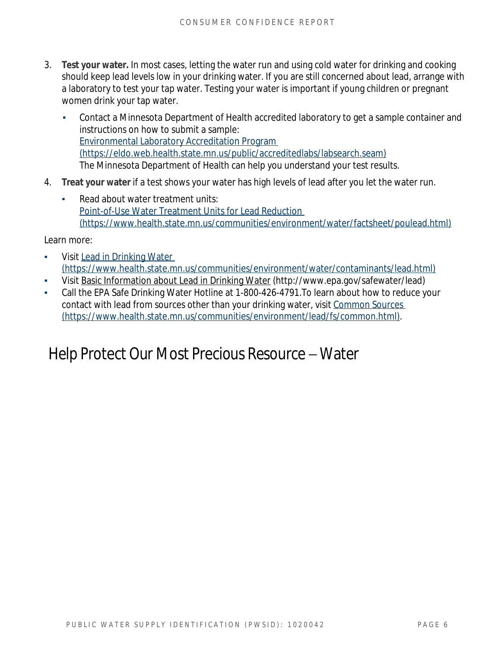- 3. **Test your water.** In most cases, letting the water run and using cold water for drinking and cooking should keep lead levels low in your drinking water. If you are still concerned about lead, arrange with a laboratory to test your tap water. Testing your water is important if young children or pregnant women drink your tap water.
	- Contact a Minnesota Department of Health accredited laboratory to get a sample container and instructions on how to submit a sample: [Environmental Laboratory Accreditation Program](https://eldo.web.health.state.mn.us/public/accreditedlabs/labsearch.seam)  (https://eldo.web.health.state.mn.us/public/accreditedlabs/labsearch.seam) The Minnesota Department of Health can help you understand your test results.
- 4. **Treat your water** if a test shows your water has high levels of lead after you let the water run.
	- Read about water treatment units: [Point-of-Use Water Treatment Units for Lead Reduction](https://www.health.state.mn.us/communities/environment/water/factsheet/poulead.html)  (https://www.health.state.mn.us/communities/environment/water/factsheet/poulead.html)

Learn more:

- Visit Lead in Drinking Water (https://www.health.state.mn.us/communities/environment/water/contaminants/lead.html)
- Visit [Basic Information about Lead in Drinking Water \(http://www.epa.gov/safewater/lead\)](http://www.epa.gov/safewater/lead)
- Call the EPA Safe Drinking Water Hotline at 1-800-426-4791. To learn about how to reduce your contact with lead from sources other than your drinking water, visit Common Sources (https://www.health.state.mn.us/communities/environment/lead/fs/common.html).

### Help Protect Our Most Precious Resource – Water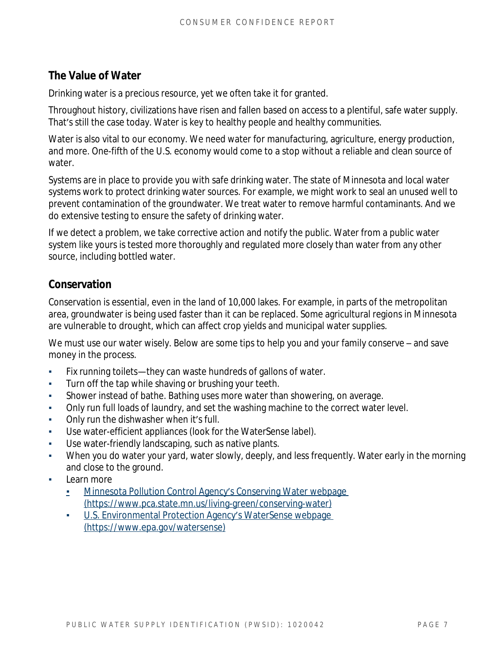#### **The Value of Water**

Drinking water is a precious resource, yet we often take it for granted.

Throughout history, civilizations have risen and fallen based on access to a plentiful, safe water supply. That's still the case today. Water is key to healthy people and healthy communities.

Water is also vital to our economy. We need water for manufacturing, agriculture, energy production, and more. One-fifth of the U.S. economy would come to a stop without a reliable and clean source of water.

Systems are in place to provide you with safe drinking water. The state of Minnesota and local water systems work to protect drinking water sources. For example, we might work to seal an unused well to prevent contamination of the groundwater. We treat water to remove harmful contaminants. And we do extensive testing to ensure the safety of drinking water.

If we detect a problem, we take corrective action and notify the public. Water from a public water system like yours is tested more thoroughly and regulated more closely than water from any other source, including bottled water.

#### **Conservation**

Conservation is essential, even in the land of 10,000 lakes. For example, in parts of the metropolitan area, groundwater is being used faster than it can be replaced. Some agricultural regions in Minnesota are vulnerable to drought, which can affect crop yields and municipal water supplies.

We must use our water wisely. Below are some tips to help you and your family conserve – and save money in the process.

- Fix running toilets—they can waste hundreds of gallons of water.
- Turn off the tap while shaving or brushing your teeth.
- Shower instead of bathe. Bathing uses more water than showering, on average.
- Only run full loads of laundry, and set the washing machine to the correct water level.
- **•** Only run the dishwasher when it's full.
- Use water-efficient appliances (look for the WaterSense label).
- Use water-friendly landscaping, such as native plants.
- When you do water your yard, water slowly, deeply, and less frequently. Water early in the morning and close to the ground.
- Learn more
	- **E** [Minnesota Pollution Control Agency](https://www.pca.state.mn.us/living-green/conserving-water)'s Conserving Water webpage [\(https://www.pca.state.mn.us/living-green/conserving-water\)](https://www.pca.state.mn.us/living-green/conserving-water)
	- **[U.S. Environmental Protection Agency](https://www.epa.gov/watersense)'s WaterSense webpage** (https://www.epa.gov/watersense)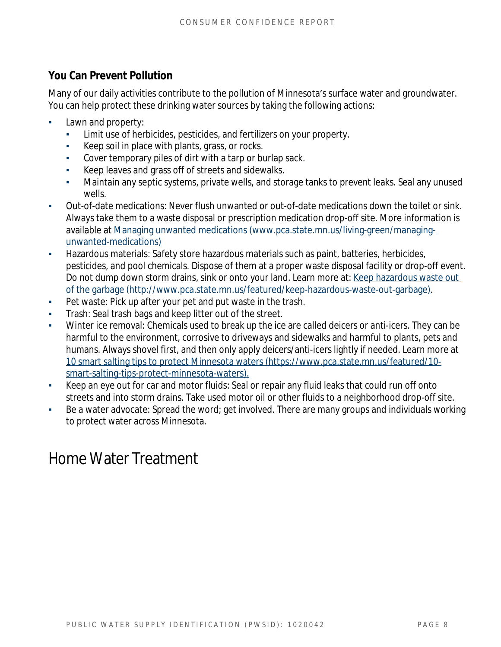#### **You Can Prevent Pollution**

Many of our daily activities contribute to the pollution of Minnesota's surface water and groundwater. You can help protect these drinking water sources by taking the following actions:

- **•** Lawn and property:
	- Limit use of herbicides, pesticides, and fertilizers on your property.
	- Keep soil in place with plants, grass, or rocks.
	- Cover temporary piles of dirt with a tarp or burlap sack.
	- Keep leaves and grass off of streets and sidewalks.
	- Maintain any septic systems, private wells, and storage tanks to prevent leaks. Seal any unused wells.
- Out-of-date medications: Never flush unwanted or out-of-date medications down the toilet or sink. Always take them to a waste disposal or prescription medication drop-off site. More information is available at [Managing unwanted medications \(www.pca.state.mn.us/living-green/managing](http://www.pca.state.mn.us/living-green/managing-unwanted-medications)unwanted-medications)
- **•** Hazardous materials: Safety store hazardous materials such as paint, batteries, herbicides, pesticides, and pool chemicals. Dispose of them at a proper waste disposal facility or drop-off event. Do not dump down storm drains, sink or onto your land. Learn more at: Keep hazardous waste out of the garbage (http://www.pca.state.mn.us/featured/keep-hazardous-waste-out-garbage).
- Pet waste: Pick up after your pet and put waste in the trash.
- Trash: Seal trash bags and keep litter out of the street.
- Winter ice removal: Chemicals used to break up the ice are called deicers or anti-icers. They can be harmful to the environment, corrosive to driveways and sidewalks and harmful to plants, pets and humans. Always shovel first, and then only apply deicers/anti-icers lightly if needed. Learn more at [10 smart salting tips to protect Minnesota waters \(https://www.pca.state.mn.us/featured/10](https://www.pca.state.mn.us/featured/10-smart-salting-tips-protect-minnesota-waters) smart-salting-tips-protect-minnesota-waters).
- Keep an eye out for car and motor fluids: Seal or repair any fluid leaks that could run off onto streets and into storm drains. Take used motor oil or other fluids to a neighborhood drop-off site.
- Be a water advocate: Spread the word; get involved. There are many groups and individuals working to protect water across Minnesota.

### Home Water Treatment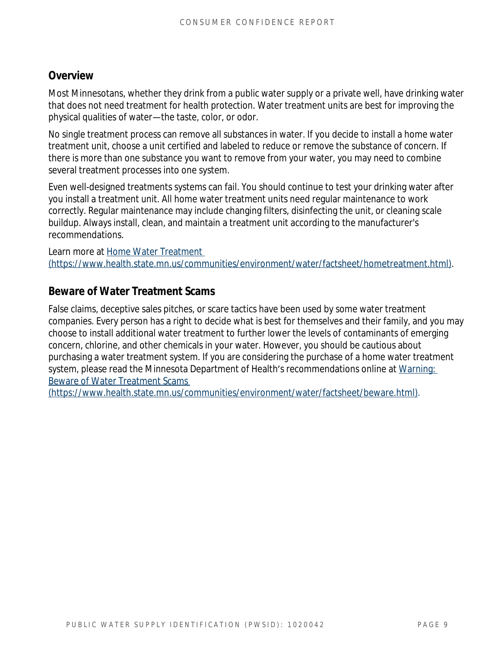#### **Overview**

Most Minnesotans, whether they drink from a public water supply or a private well, have drinking water that does not need treatment for health protection. Water treatment units are best for improving the physical qualities of water—the taste, color, or odor.

No single treatment process can remove all substances in water. If you decide to install a home water treatment unit, choose a unit certified and labeled to reduce or remove the substance of concern. If there is more than one substance you want to remove from your water, you may need to combine several treatment processes into one system.

Even well-designed treatments systems can fail. You should continue to test your drinking water after you install a treatment unit. All home water treatment units need regular maintenance to work correctly. Regular maintenance may include changing filters, disinfecting the unit, or cleaning scale buildup. Always install, clean, and maintain a treatment unit according to the manufacturer's recommendations.

Learn more at [Home Water Treatment](https://www.health.state.mn.us/communities/environment/water/factsheet/hometreatment.html)  (https://www.health.state.mn.us/communities/environment/water/factsheet/hometreatment.html).

#### **Beware of Water Treatment Scams**

False claims, deceptive sales pitches, or scare tactics have been used by some water treatment companies. Every person has a right to decide what is best for themselves and their family, and you may choose to install additional water treatment to further lower the levels of contaminants of emerging concern, chlorine, and other chemicals in your water. However, you should be cautious about purchasing a water treatment system. If you are considering the purchase of a home water treatment system, please read the Minnesota Department of Health's recommendations online at Warning: Beware of Water Treatment Scams

(https://www.health.state.mn.us/communities/environment/water/factsheet/beware.html).